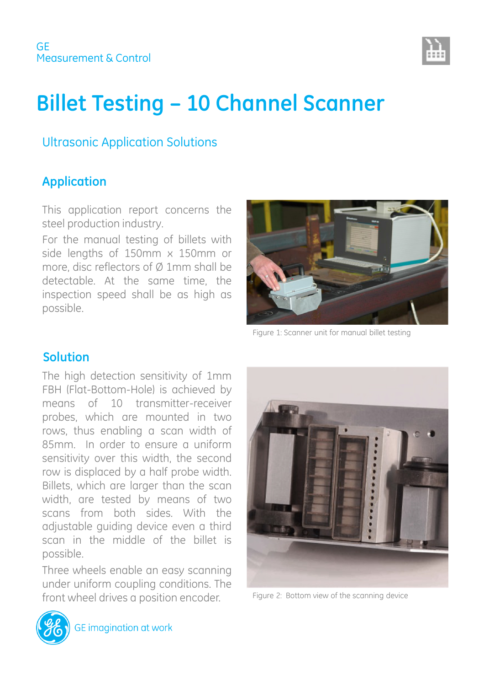

# **Billet Testing – 10 Channel Scanner**

### Ultrasonic Application Solutions

# **Application**

This application report concerns the steel production industry.

For the manual testing of billets with side lengths of 150mm x 150mm or more, disc reflectors of Ø 1mm shall be detectable. At the same time, the inspection speed shall be as high as possible.



Figure 1: Scanner unit for manual billet testing

#### **Solution**

The high detection sensitivity of 1mm FBH (Flat-Bottom-Hole) is achieved by means of 10 transmitter-receiver probes, which are mounted in two rows, thus enabling a scan width of 85mm. In order to ensure a uniform sensitivity over this width, the second row is displaced by a half probe width. Billets, which are larger than the scan width, are tested by means of two scans from both sides. With the adjustable guiding device even a third scan in the middle of the billet is possible.

Three wheels enable an easy scanning under uniform coupling conditions. The front wheel drives a position encoder.



Figure 2: Bottom view of the scanning device